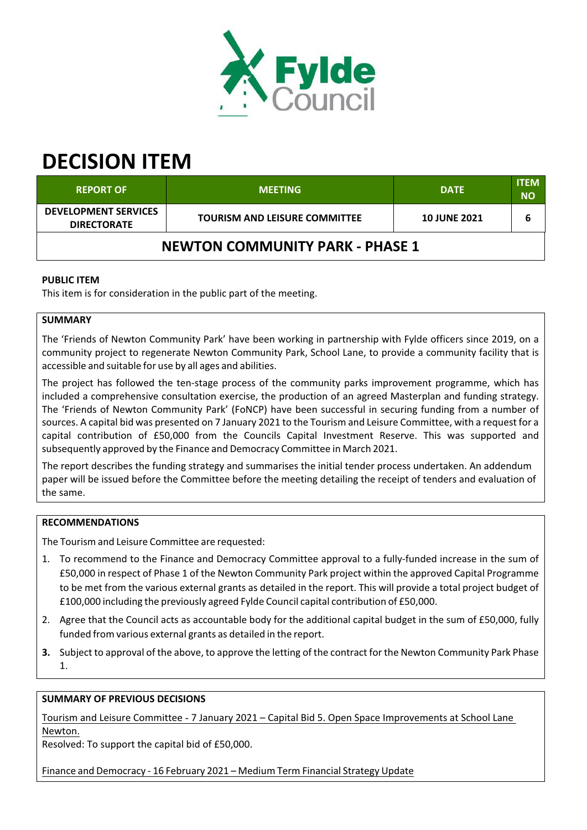

# **DECISION ITEM**

| <b>REPORT OF</b>                                  | <b>MEETING</b>                       | <b>DATE</b>         | <b>ITEM</b><br><b>NO</b> |  |
|---------------------------------------------------|--------------------------------------|---------------------|--------------------------|--|
| <b>DEVELOPMENT SERVICES</b><br><b>DIRECTORATE</b> | <b>TOURISM AND LEISURE COMMITTEE</b> | <b>10 JUNE 2021</b> |                          |  |
| <b>NEWTON COMMUNITY PARK - PHASE 1</b>            |                                      |                     |                          |  |

# **PUBLIC ITEM**

This item is for consideration in the public part of the meeting.

# **SUMMARY**

The 'Friends of Newton Community Park' have been working in partnership with Fylde officers since 2019, on a community project to regenerate Newton Community Park, School Lane, to provide a community facility that is accessible and suitable for use by all ages and abilities.

The project has followed the ten-stage process of the community parks improvement programme, which has included a comprehensive consultation exercise, the production of an agreed Masterplan and funding strategy. The 'Friends of Newton Community Park' (FoNCP) have been successful in securing funding from a number of sources. A capital bid was presented on 7 January 2021 to the Tourism and Leisure Committee, with a request for a capital contribution of £50,000 from the Councils Capital Investment Reserve. This was supported and subsequently approved by the Finance and Democracy Committee in March 2021.

The report describes the funding strategy and summarises the initial tender process undertaken. An addendum paper will be issued before the Committee before the meeting detailing the receipt of tenders and evaluation of the same.

## **RECOMMENDATIONS**

The Tourism and Leisure Committee are requested:

- 1. To recommend to the Finance and Democracy Committee approval to a fully‐funded increase in the sum of £50,000 in respect of Phase 1 of the Newton Community Park project within the approved Capital Programme to be met from the various external grants as detailed in the report. This will provide a total project budget of £100,000 including the previously agreed Fylde Council capital contribution of £50,000.
- 2. Agree that the Council acts as accountable body for the additional capital budget in the sum of £50,000, fully funded from various external grants as detailed in the report.
- **3.** Subject to approval of the above, to approve the letting of the contract for the Newton Community Park Phase 1.

# **SUMMARY OF PREVIOUS DECISIONS**

Tourism and Leisure Committee - 7 January 2021 – Capital Bid 5. Open Space Improvements at School Lane Newton.

Resolved: To support the capital bid of £50,000.

Finance and Democracy ‐ 16 February 2021 – Medium Term Financial Strategy Update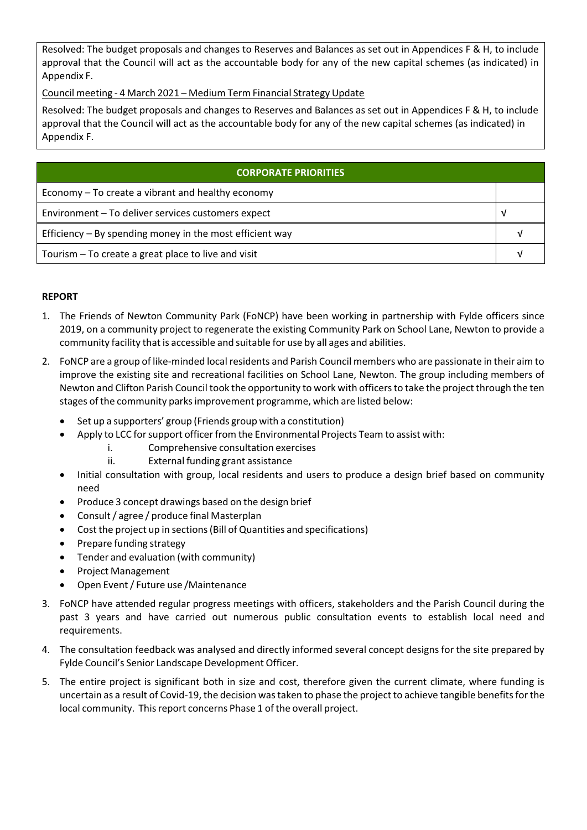Resolved: The budget proposals and changes to Reserves and Balances as set out in Appendices F & H, to include approval that the Council will act as the accountable body for any of the new capital schemes (as indicated) in Appendix F.

Council meeting ‐ 4 March 2021 – Medium Term Financial Strategy Update

Resolved: The budget proposals and changes to Reserves and Balances as set out in Appendices F & H, to include approval that the Council will act as the accountable body for any of the new capital schemes (as indicated) in Appendix F.

| <b>CORPORATE PRIORITIES</b>                              |  |  |  |
|----------------------------------------------------------|--|--|--|
| Economy $-$ To create a vibrant and healthy economy      |  |  |  |
| Environment - To deliver services customers expect       |  |  |  |
| Efficiency – By spending money in the most efficient way |  |  |  |
| Tourism – To create a great place to live and visit      |  |  |  |

# **REPORT**

- 1. The Friends of Newton Community Park (FoNCP) have been working in partnership with Fylde officers since 2019, on a community project to regenerate the existing Community Park on School Lane, Newton to provide a community facility that is accessible and suitable for use by all ages and abilities.
- 2. FoNCP are a group of like‐minded local residents and Parish Council members who are passionate in their aim to improve the existing site and recreational facilities on School Lane, Newton. The group including members of Newton and Clifton Parish Council took the opportunity to work with officersto take the project through the ten stages of the community parksimprovement programme, which are listed below:
	- Set up a supporters' group (Friends group with a constitution)
	- Apply to LCC for support officer from the Environmental Projects Team to assist with:
		- i. Comprehensive consultation exercises
		- ii. External funding grant assistance
	- Initial consultation with group, local residents and users to produce a design brief based on community need
	- Produce 3 concept drawings based on the design brief
	- Consult/ agree / produce final Masterplan
	- Cost the project up in sections(Bill of Quantities and specifications)
	- Prepare funding strategy
	- Tender and evaluation (with community)
	- Project Management
	- Open Event/ Future use /Maintenance
- 3. FoNCP have attended regular progress meetings with officers, stakeholders and the Parish Council during the past 3 years and have carried out numerous public consultation events to establish local need and requirements.
- 4. The consultation feedback was analysed and directly informed several concept designs for the site prepared by Fylde Council's Senior Landscape Development Officer.
- 5. The entire project is significant both in size and cost, therefore given the current climate, where funding is uncertain as a result of Covid-19, the decision was taken to phase the project to achieve tangible benefits for the local community. Thisreport concerns Phase 1 of the overall project.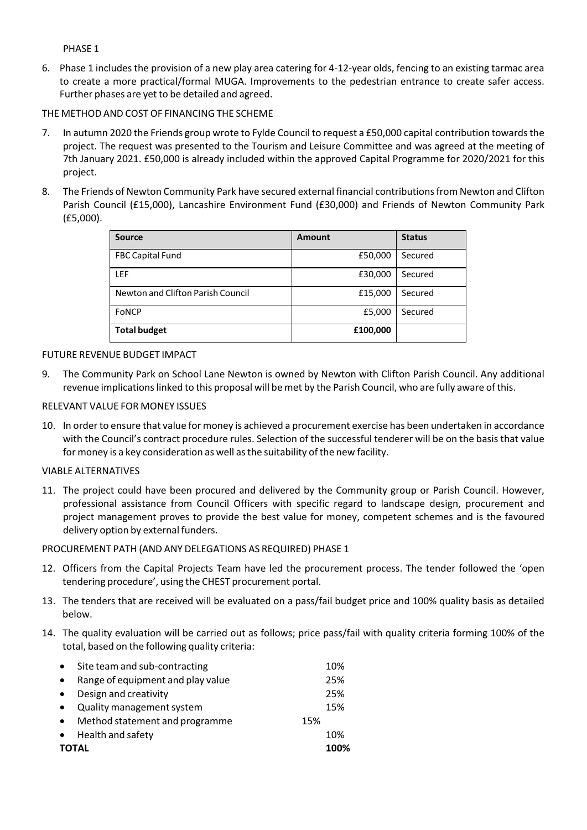PHASE 1

6. Phase 1 includes the provision of a new play area catering for 4‐12‐year olds, fencing to an existing tarmac area to create a more practical/formal MUGA. Improvements to the pedestrian entrance to create safer access. Further phases are yet to be detailed and agreed.

THE METHOD AND COST OF FINANCING THE SCHEME

- 7. In autumn 2020 the Friends group wrote to Fylde Council to request a £50,000 capital contribution towards the project. The request was presented to the Tourism and Leisure Committee and was agreed at the meeting of 7th January 2021. £50,000 is already included within the approved Capital Programme for 2020/2021 for this project.
- 8. The Friends of Newton Community Park have secured external financial contributions from Newton and Clifton Parish Council (£15,000), Lancashire Environment Fund (£30,000) and Friends of Newton Community Park (£5,000).

| <b>Source</b>                     | Amount   | <b>Status</b> |
|-----------------------------------|----------|---------------|
| <b>FBC Capital Fund</b>           | £50,000  | Secured       |
| <b>LEF</b>                        | £30,000  | Secured       |
| Newton and Clifton Parish Council | £15,000  | Secured       |
| FoNCP                             | £5,000   | Secured       |
| <b>Total budget</b>               | £100,000 |               |

## FUTURE REVENUE BUDGET IMPACT

9. The Community Park on School Lane Newton is owned by Newton with Clifton Parish Council. Any additional revenue implications linked to this proposal will be met by the Parish Council, who are fully aware of this.

## RELEVANT VALUE FOR MONEY ISSUES

10. In orderto ensure that value for money is achieved a procurement exercise has been undertaken in accordance with the Council's contract procedure rules. Selection of the successful tenderer will be on the basis that value for money is a key consideration as well asthe suitability of the new facility.

## VIABLE ALTERNATIVES

11. The project could have been procured and delivered by the Community group or Parish Council. However, professional assistance from Council Officers with specific regard to landscape design, procurement and project management proves to provide the best value for money, competent schemes and is the favoured delivery option by external funders.

## PROCUREMENT PATH (AND ANY DELEGATIONS AS REQUIRED) PHASE 1

- 12. Officers from the Capital Projects Team have led the procurement process. The tender followed the 'open tendering procedure', using the CHEST procurement portal.
- 13. The tenders that are received will be evaluated on a pass/fail budget price and 100% quality basis as detailed below.
- 14. The quality evaluation will be carried out as follows; price pass/fail with quality criteria forming 100% of the total, based on the following quality criteria:

| $\bullet$ | Site team and sub-contracting     |     | 10%  |
|-----------|-----------------------------------|-----|------|
|           | Range of equipment and play value |     | 25%  |
| $\bullet$ | Design and creativity             |     | 25%  |
| $\bullet$ | Quality management system         |     | 15%  |
|           | Method statement and programme    | 15% |      |
|           | • Health and safety               |     | 10%  |
|           | <b>TOTAL</b>                      |     | 100% |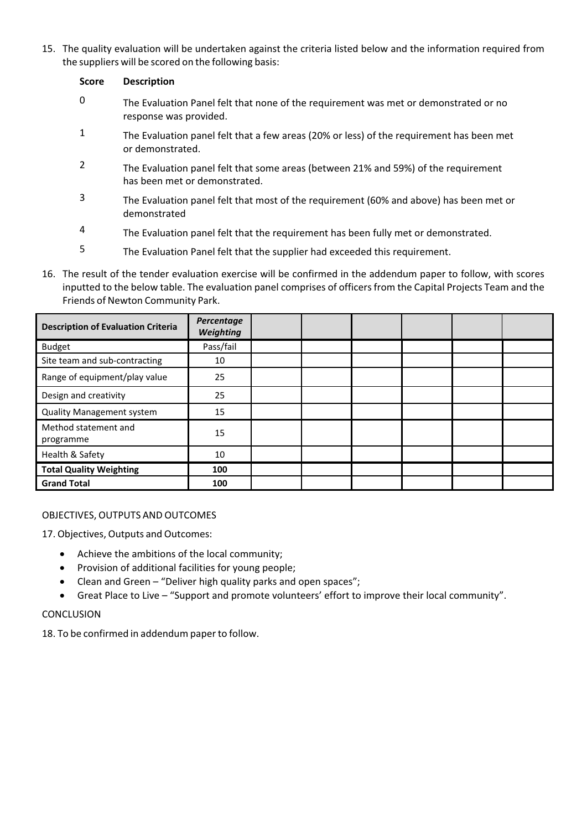15. The quality evaluation will be undertaken against the criteria listed below and the information required from the suppliers will be scored on the following basis:

## **Score Description**

- 0 The Evaluation Panel felt that none of the requirement was met or demonstrated or no response was provided.
- $1 1$  The Evaluation panel felt that a few areas (20% or less) of the requirement has been met or demonstrated.
- 2 The Evaluation panel felt that some areas (between 21% and 59%) of the requirement has been met or demonstrated.
- 3 The Evaluation panel felt that most of the requirement (60% and above) has been met or demonstrated
- 4 The Evaluation panel felt that the requirement has been fully met or demonstrated.
- 5 The Evaluation Panel felt that the supplier had exceeded this requirement.
- 16. The result of the tender evaluation exercise will be confirmed in the addendum paper to follow, with scores inputted to the below table. The evaluation panel comprises of officers from the Capital Projects Team and the Friends of Newton Community Park.

| <b>Description of Evaluation Criteria</b> | Percentage<br><b>Weighting</b> |  |  |  |
|-------------------------------------------|--------------------------------|--|--|--|
| <b>Budget</b>                             | Pass/fail                      |  |  |  |
| Site team and sub-contracting             | 10                             |  |  |  |
| Range of equipment/play value             | 25                             |  |  |  |
| Design and creativity                     | 25                             |  |  |  |
| <b>Quality Management system</b>          | 15                             |  |  |  |
| Method statement and<br>programme         | 15                             |  |  |  |
| Health & Safety                           | 10                             |  |  |  |
| <b>Total Quality Weighting</b>            | 100                            |  |  |  |
| <b>Grand Total</b>                        | 100                            |  |  |  |

# OBJECTIVES, OUTPUTS AND OUTCOMES

17. Objectives, Outputs and Outcomes:

- Achieve the ambitions of the local community;
- Provision of additional facilities for young people;
- Clean and Green "Deliver high quality parks and open spaces";
- Great Place to Live "Support and promote volunteers' effort to improve their local community".

## **CONCLUSION**

18. To be confirmed in addendum paperto follow.